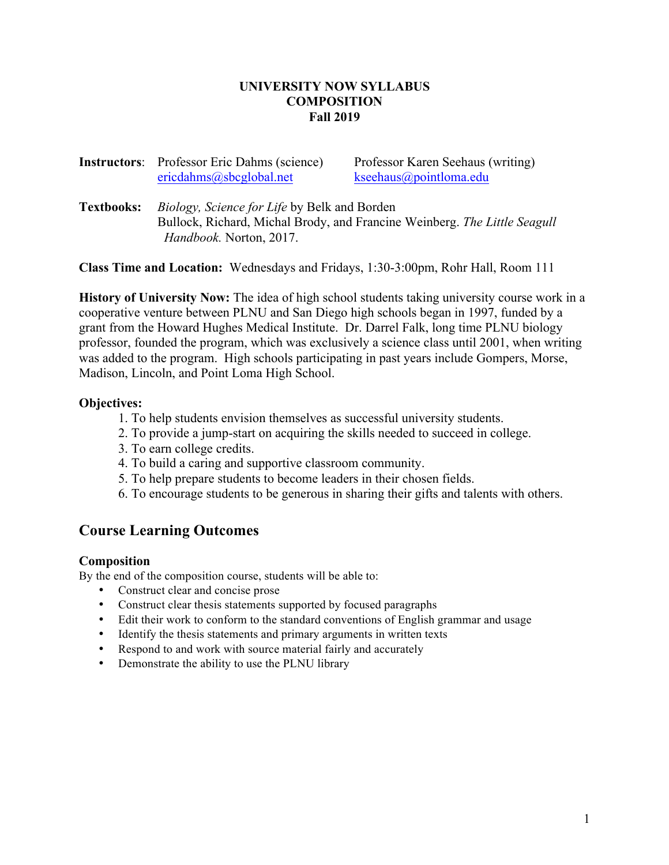#### **UNIVERSITY NOW SYLLABUS COMPOSITION Fall 2019**

**Instructors**: Professor Eric Dahms (science) Professor Karen Seehaus (writing) ericdahms@sbcglobal.net kseehaus@pointloma.edu

**Textbooks:** *Biology, Science for Life* by Belk and Borden Bullock, Richard, Michal Brody, and Francine Weinberg. *The Little Seagull Handbook.* Norton, 2017.

**Class Time and Location:** Wednesdays and Fridays, 1:30-3:00pm, Rohr Hall, Room 111

**History of University Now:** The idea of high school students taking university course work in a cooperative venture between PLNU and San Diego high schools began in 1997, funded by a grant from the Howard Hughes Medical Institute. Dr. Darrel Falk, long time PLNU biology professor, founded the program, which was exclusively a science class until 2001, when writing was added to the program. High schools participating in past years include Gompers, Morse, Madison, Lincoln, and Point Loma High School.

## **Objectives:**

- 1. To help students envision themselves as successful university students.
- 2. To provide a jump-start on acquiring the skills needed to succeed in college.
- 3. To earn college credits.
- 4. To build a caring and supportive classroom community.
- 5. To help prepare students to become leaders in their chosen fields.
- 6. To encourage students to be generous in sharing their gifts and talents with others.

# **Course Learning Outcomes**

#### **Composition**

By the end of the composition course, students will be able to:

- Construct clear and concise prose
- Construct clear thesis statements supported by focused paragraphs
- Edit their work to conform to the standard conventions of English grammar and usage
- Identify the thesis statements and primary arguments in written texts
- Respond to and work with source material fairly and accurately
- Demonstrate the ability to use the PLNU library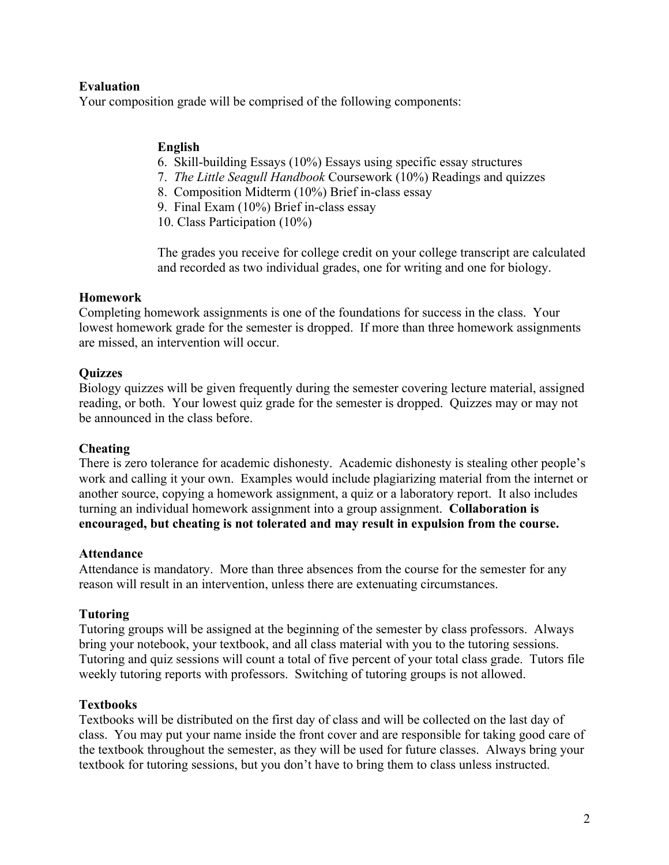## **Evaluation**

Your composition grade will be comprised of the following components:

## **English**

- 6. Skill-building Essays (10%) Essays using specific essay structures
- 7. *The Little Seagull Handbook* Coursework (10%) Readings and quizzes
- 8. Composition Midterm (10%) Brief in-class essay
- 9. Final Exam (10%) Brief in-class essay
- 10. Class Participation (10%)

The grades you receive for college credit on your college transcript are calculated and recorded as two individual grades, one for writing and one for biology.

#### **Homework**

Completing homework assignments is one of the foundations for success in the class. Your lowest homework grade for the semester is dropped. If more than three homework assignments are missed, an intervention will occur.

## **Quizzes**

Biology quizzes will be given frequently during the semester covering lecture material, assigned reading, or both. Your lowest quiz grade for the semester is dropped. Quizzes may or may not be announced in the class before.

#### **Cheating**

There is zero tolerance for academic dishonesty. Academic dishonesty is stealing other people's work and calling it your own. Examples would include plagiarizing material from the internet or another source, copying a homework assignment, a quiz or a laboratory report. It also includes turning an individual homework assignment into a group assignment. **Collaboration is encouraged, but cheating is not tolerated and may result in expulsion from the course.**

#### **Attendance**

Attendance is mandatory. More than three absences from the course for the semester for any reason will result in an intervention, unless there are extenuating circumstances.

#### **Tutoring**

Tutoring groups will be assigned at the beginning of the semester by class professors. Always bring your notebook, your textbook, and all class material with you to the tutoring sessions. Tutoring and quiz sessions will count a total of five percent of your total class grade. Tutors file weekly tutoring reports with professors. Switching of tutoring groups is not allowed.

#### **Textbooks**

Textbooks will be distributed on the first day of class and will be collected on the last day of class. You may put your name inside the front cover and are responsible for taking good care of the textbook throughout the semester, as they will be used for future classes. Always bring your textbook for tutoring sessions, but you don't have to bring them to class unless instructed.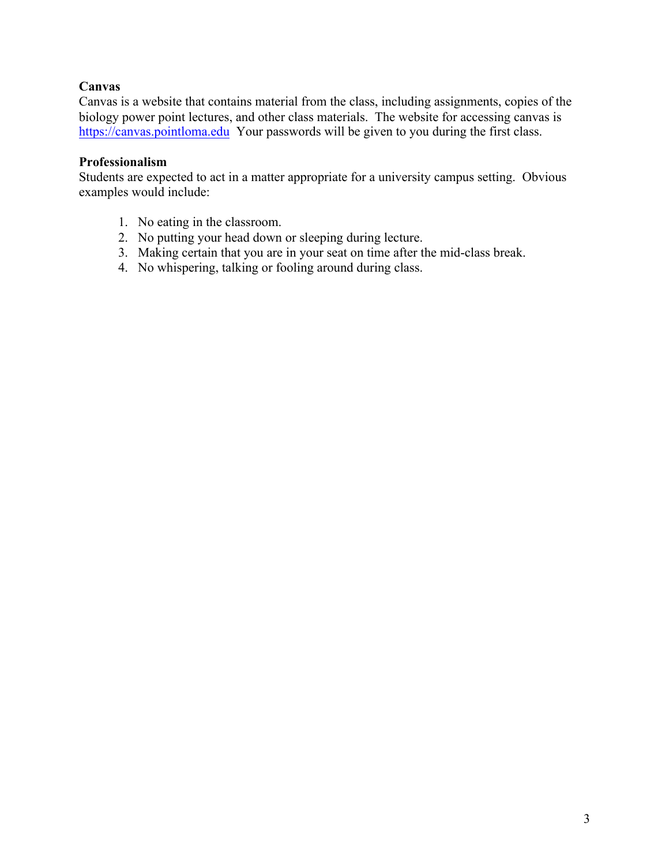## **Canvas**

Canvas is a website that contains material from the class, including assignments, copies of the biology power point lectures, and other class materials. The website for accessing canvas is https://canvas.pointloma.edu Your passwords will be given to you during the first class.

## **Professionalism**

Students are expected to act in a matter appropriate for a university campus setting. Obvious examples would include:

- 1. No eating in the classroom.
- 2. No putting your head down or sleeping during lecture.
- 3. Making certain that you are in your seat on time after the mid-class break.
- 4. No whispering, talking or fooling around during class.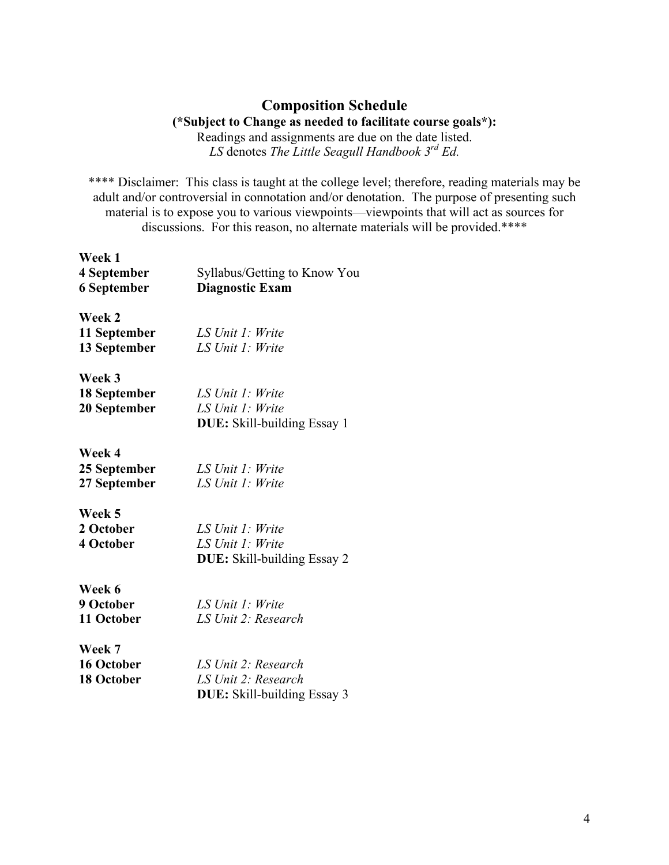# **Composition Schedule**

**(\*Subject to Change as needed to facilitate course goals\*):** Readings and assignments are due on the date listed. *LS* denotes *The Little Seagull Handbook 3rd Ed.*

\*\*\*\* Disclaimer: This class is taught at the college level; therefore, reading materials may be adult and/or controversial in connotation and/or denotation. The purpose of presenting such material is to expose you to various viewpoints—viewpoints that will act as sources for discussions. For this reason, no alternate materials will be provided.\*\*\*\*

| Week 1             |                                    |
|--------------------|------------------------------------|
| 4 September        | Syllabus/Getting to Know You       |
| <b>6 September</b> | <b>Diagnostic Exam</b>             |
| Week 2             |                                    |
| 11 September       | LS Unit 1: Write                   |
| 13 September       | LS Unit 1: Write                   |
| Week 3             |                                    |
| 18 September       | LS Unit 1: Write                   |
| 20 September       | LS Unit 1: Write                   |
|                    | <b>DUE:</b> Skill-building Essay 1 |
| Week 4             |                                    |
| 25 September       | LS Unit 1: Write                   |
| 27 September       | LS Unit 1: Write                   |
| Week 5             |                                    |
| 2 October          | LS Unit 1: Write                   |
| <b>4 October</b>   | LS Unit 1: Write                   |
|                    | <b>DUE:</b> Skill-building Essay 2 |
| Week 6             |                                    |
| 9 October          | LS Unit 1: Write                   |
| 11 October         | LS Unit 2: Research                |
| Week 7             |                                    |
| 16 October         | LS Unit 2: Research                |
| 18 October         | LS Unit 2: Research                |
|                    | <b>DUE:</b> Skill-building Essay 3 |